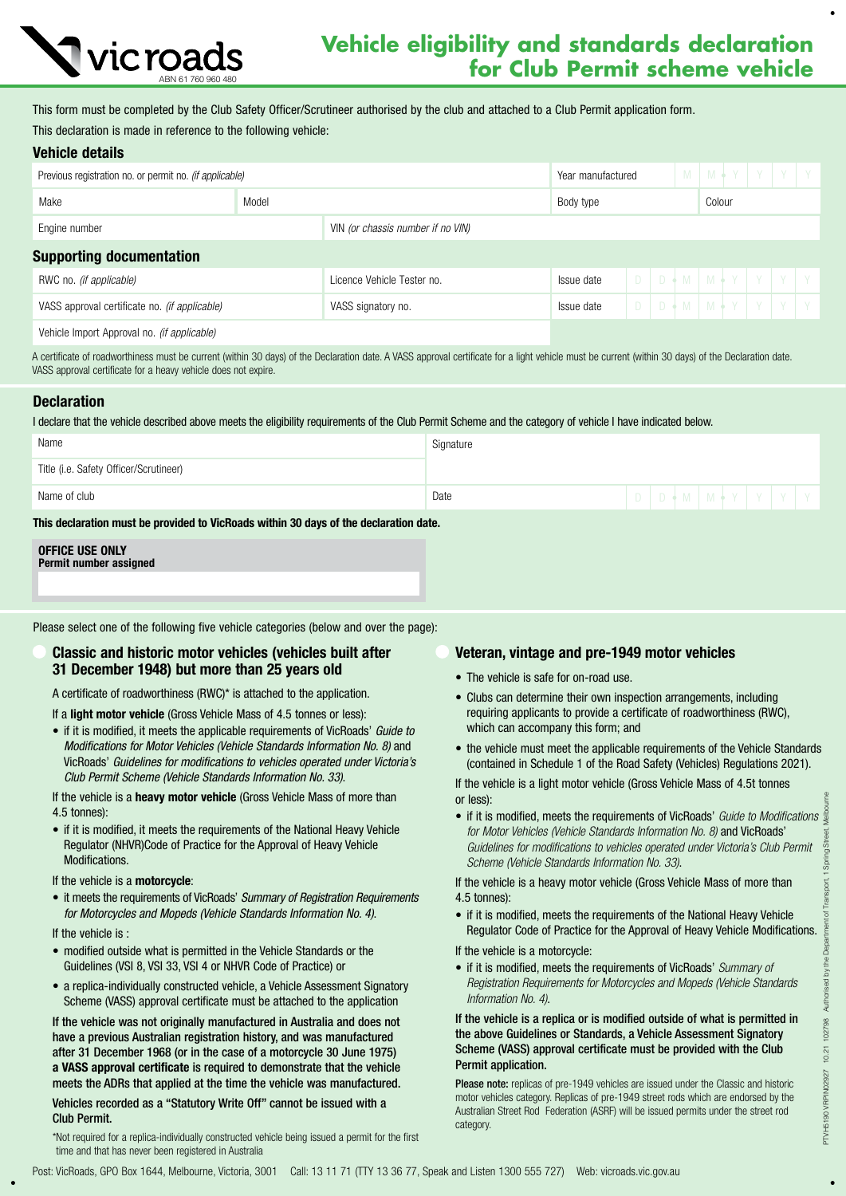

# **Vehicle eligibility and standards declaration Vic roads Vehicle eligibility and standards decidration**<br>for Club Permit scheme vehicle

This form must be completed by the Club Safety Officer/Scrutineer authorised by the club and attached to a Club Permit application form. This declaration is made in reference to the following vehicle:

## Vehicle details

| Previous registration no. or permit no. (if applicable) |       |                                   | Year manufactured |  |  |        |  | M   M + Y   Y   Y   Y             |
|---------------------------------------------------------|-------|-----------------------------------|-------------------|--|--|--------|--|-----------------------------------|
| Make                                                    | Model |                                   | Body type         |  |  | Colour |  |                                   |
| Engine number                                           |       | VIN (or chassis number if no VIN) |                   |  |  |        |  |                                   |
| <b>Supporting documentation</b>                         |       |                                   |                   |  |  |        |  |                                   |
| RWC no. <i>(if applicable)</i>                          |       | Licence Vehicle Tester no.        | Issue date        |  |  |        |  | $D   D + M   M + Y   Y   Y   Y  $ |
| VASS approval certificate no. (if applicable)           |       | VASS signatory no.                | Issue date        |  |  |        |  | $D$ $D + M$ $M + Y$ $Y$ $Y$ $Y$   |
|                                                         |       |                                   |                   |  |  |        |  |                                   |

Vehicle Import Approval no. *(if applicable)*

A certificate of roadworthiness must be current (within 30 days) of the Declaration date. A VASS approval certificate for a light vehicle must be current (within 30 days) of the Declaration date. VASS approval certificate for a heavy vehicle does not expire.

## **Declaration**

I declare that the vehicle described above meets the eligibility requirements of the Club Permit Scheme and the category of vehicle I have indicated below.

| Name                                                                                  | Signature |  |  |  |  |  |  |  |                             |
|---------------------------------------------------------------------------------------|-----------|--|--|--|--|--|--|--|-----------------------------|
| Title (i.e. Safety Officer/Scrutineer)                                                |           |  |  |  |  |  |  |  |                             |
| Name of club                                                                          | Date      |  |  |  |  |  |  |  | D D + M   M + Y   Y   Y   Y |
| This declaration must be provided to VicRoads within 30 days of the declaration date. |           |  |  |  |  |  |  |  |                             |

# OFFICE USE ONLY

Permit number assigned

Please select one of the following five vehicle categories (below and over the page):

# Classic and historic motor vehicles (vehicles built after 31 December 1948) but more than 25 years old

A certificate of roadworthiness (RWC)\* is attached to the application.

- If a light motor vehicle (Gross Vehicle Mass of 4.5 tonnes or less):
- if it is modified, it meets the applicable requirements of VicRoads' *Guide to Modifications for Motor Vehicles (Vehicle Standards Information No. 8)* and VicRoads' *Guidelines for modifications to vehicles operated under Victoria's Club Permit Scheme (Vehicle Standards Information No. 33)*.

If the vehicle is a heavy motor vehicle (Gross Vehicle Mass of more than 4.5 tonnes):

• if it is modified, it meets the requirements of the National Heavy Vehicle Regulator (NHVR)Code of Practice for the Approval of Heavy Vehicle Modifications.

#### If the vehicle is a motorcycle:

- it meets the requirements of VicRoads' *Summary of Registration Requirements for Motorcycles and Mopeds (Vehicle Standards Information No. 4)*.
- If the vehicle is :
- modified outside what is permitted in the Vehicle Standards or the Guidelines (VSI 8, VSI 33, VSI 4 or NHVR Code of Practice) or
- a replica-individually constructed vehicle, a Vehicle Assessment Signatory Scheme (VASS) approval certificate must be attached to the application

If the vehicle was not originally manufactured in Australia and does not have a previous Australian registration history, and was manufactured after 31 December 1968 (or in the case of a motorcycle 30 June 1975) a VASS approval certificate is required to demonstrate that the vehicle meets the ADRs that applied at the time the vehicle was manufactured.

#### Vehicles recorded as a "Statutory Write Off" cannot be issued with a Club Permit.

\*Not required for a replica-individually constructed vehicle being issued a permit for the first time and that has never been registered in Australia

# Veteran, vintage and pre-1949 motor vehicles

- The vehicle is safe for on-road use.
- Clubs can determine their own inspection arrangements, including requiring applicants to provide a certificate of roadworthiness (RWC), which can accompany this form; and
- the vehicle must meet the applicable requirements of the Vehicle Standards (contained in Schedule 1 of the Road Safety (Vehicles) Regulations 2021).

If the vehicle is a light motor vehicle (Gross Vehicle Mass of 4.5t tonnes or less):

• if it is modified, meets the requirements of VicRoads' *Guide to Modifications for Motor Vehicles (Vehicle Standards Information No. 8)* and VicRoads' *Guidelines for modifications to vehicles operated under Victoria's Club Permit Scheme (Vehicle Standards Information No. 33)*.

If the vehicle is a heavy motor vehicle (Gross Vehicle Mass of more than 4.5 tonnes):

• if it is modified, meets the requirements of the National Heavy Vehicle Regulator Code of Practice for the Approval of Heavy Vehicle Modifications.

If the vehicle is a motorcycle:

• if it is modified, meets the requirements of VicRoads' *Summary of Registration Requirements for Motorcycles and Mopeds (Vehicle Standards Information No. 4)*.

If the vehicle is a replica or is modified outside of what is permitted in the above Guidelines or Standards, a Vehicle Assessment Signatory Scheme (VASS) approval certificate must be provided with the Club Permit application.

Please note: replicas of pre-1949 vehicles are issued under the Classic and historic motor vehicles category. Replicas of pre-1949 street rods which are endorsed by the Australian Street Rod Federation (ASRF) will be issued permits under the street rod category.